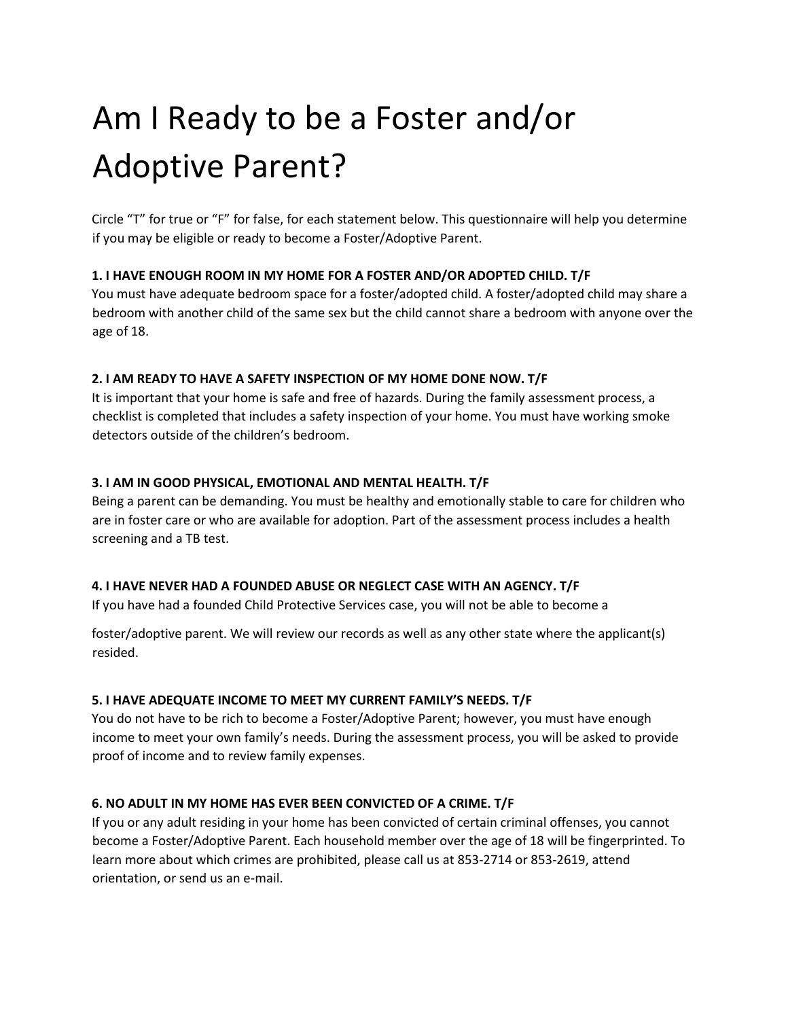# Am I Ready to be a Foster and/or Adoptive Parent?

Circle "T" for true or "F" for false, for each statement below. This questionnaire will help you determine if you may be eligible or ready to become a Foster/Adoptive Parent.

## **1. I HAVE ENOUGH ROOM IN MY HOME FOR A FOSTER AND/OR ADOPTED CHILD. T/F**

You must have adequate bedroom space for a foster/adopted child. A foster/adopted child may share a bedroom with another child of the same sex but the child cannot share a bedroom with anyone over the age of 18.

## **2. I AM READY TO HAVE A SAFETY INSPECTION OF MY HOME DONE NOW. T/F**

It is important that your home is safe and free of hazards. During the family assessment process, a checklist is completed that includes a safety inspection of your home. You must have working smoke detectors outside of the children's bedroom.

## **3. I AM IN GOOD PHYSICAL, EMOTIONAL AND MENTAL HEALTH. T/F**

Being a parent can be demanding. You must be healthy and emotionally stable to care for children who are in foster care or who are available for adoption. Part of the assessment process includes a health screening and a TB test.

#### **4. I HAVE NEVER HAD A FOUNDED ABUSE OR NEGLECT CASE WITH AN AGENCY. T/F**

If you have had a founded Child Protective Services case, you will not be able to become a

foster/adoptive parent. We will review our records as well as any other state where the applicant(s) resided.

#### **5. I HAVE ADEQUATE INCOME TO MEET MY CURRENT FAMILY'S NEEDS. T/F**

You do not have to be rich to become a Foster/Adoptive Parent; however, you must have enough income to meet your own family's needs. During the assessment process, you will be asked to provide proof of income and to review family expenses.

#### **6. NO ADULT IN MY HOME HAS EVER BEEN CONVICTED OF A CRIME. T/F**

If you or any adult residing in your home has been convicted of certain criminal offenses, you cannot become a Foster/Adoptive Parent. Each household member over the age of 18 will be fingerprinted. To learn more about which crimes are prohibited, please call us at 853-2714 or 853-2619, attend orientation, or send us an e-mail.